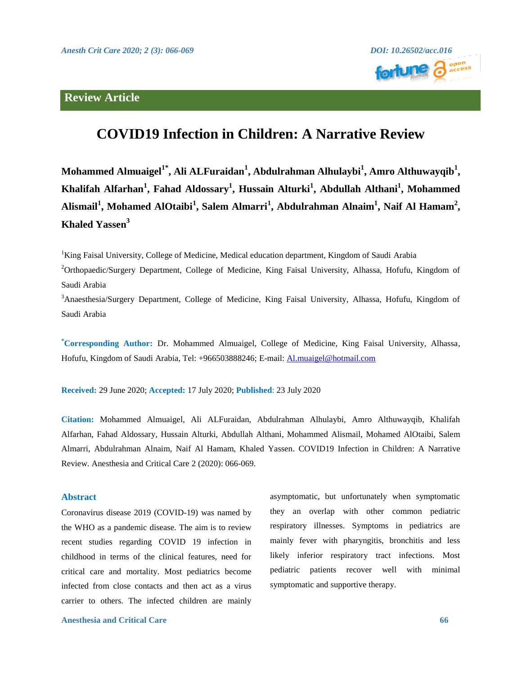## **Review Article**



# **COVID19 Infection in Children: A Narrative Review**

 $\bf{M}$ ohammed Almuaigel $^{\bf 1^*}$ , Ali ALFuraidan $^{\bf 1}$ , Abdulrahman Alhulaybi $^{\bf 1}$ , Amro Althuwayqib $^{\bf 1}$ , **Khalifah Alfarhan<sup>1</sup> , Fahad Aldossary<sup>1</sup> , Hussain Alturki<sup>1</sup> , Abdullah Althani<sup>1</sup> , Mohammed Alismail<sup>1</sup> , Mohamed AlOtaibi<sup>1</sup> , Salem Almarri<sup>1</sup> , Abdulrahman Alnaim<sup>1</sup> , Naif Al Hamam<sup>2</sup> , Khaled Yassen<sup>3</sup>**

<sup>1</sup>King Faisal University, College of Medicine, Medical education department, Kingdom of Saudi Arabia

<sup>2</sup>Orthopaedic/Surgery Department, College of Medicine, King Faisal University, Alhassa, Hofufu, Kingdom of Saudi Arabia

<sup>3</sup>Anaesthesia/Surgery Department, College of Medicine, King Faisal University, Alhassa, Hofufu, Kingdom of Saudi Arabia

**\*Corresponding Author:** Dr. Mohammed Almuaigel, College of Medicine, King Faisal University, Alhassa, Hofufu, Kingdom of Saudi Arabia, Tel: +966503888246; E-mail: [Al.muaigel@hotmail.com](mailto:Al.muaigel@hotmail.com)

**Received:** 29 June 2020; **Accepted:** 17 July 2020; **Published**: 23 July 2020

**Citation:** Mohammed Almuaigel, Ali ALFuraidan, Abdulrahman Alhulaybi, Amro Althuwayqib, Khalifah Alfarhan, Fahad Aldossary, Hussain Alturki, Abdullah Althani, Mohammed Alismail, Mohamed AlOtaibi, Salem Almarri, Abdulrahman Alnaim, Naif Al Hamam, Khaled Yassen. COVID19 Infection in Children: A Narrative Review. Anesthesia and Critical Care 2 (2020): 066-069.

#### **Abstract**

Coronavirus disease 2019 (COVID-19) was named by the WHO as a pandemic disease. The aim is to review recent studies regarding COVID 19 infection in childhood in terms of the clinical features, need for critical care and mortality. Most pediatrics become infected from close contacts and then act as a virus carrier to others. The infected children are mainly

asymptomatic, but unfortunately when symptomatic they an overlap with other common pediatric respiratory illnesses. Symptoms in pediatrics are mainly fever with pharyngitis, bronchitis and less likely inferior respiratory tract infections. Most pediatric patients recover well with minimal symptomatic and supportive therapy.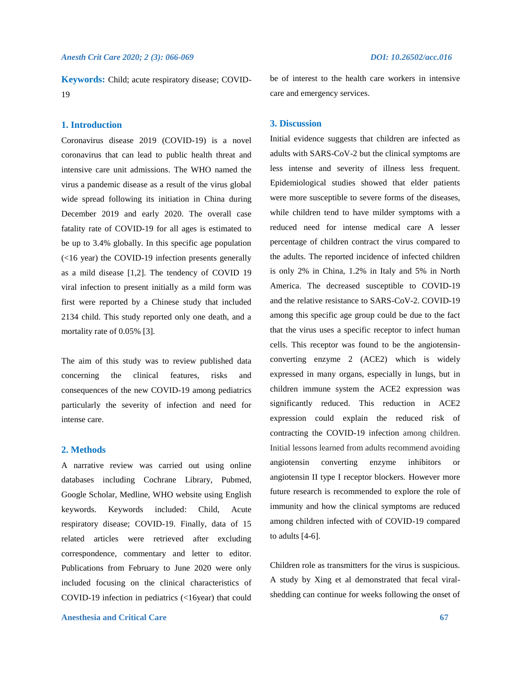**Keywords:** Child; acute respiratory disease; COVID-19

#### **1. Introduction**

Coronavirus disease 2019 (COVID-19) is a novel coronavirus that can lead to public health threat and intensive care unit admissions. The WHO named the virus a pandemic disease as a result of the virus global wide spread following its initiation in China during December 2019 and early 2020. The overall case fatality rate of COVID-19 for all ages is estimated to be up to 3.4% globally. In this specific age population (<16 year) the COVID-19 infection presents generally as a mild disease [1,2]. The tendency of COVID 19 viral infection to present initially as a mild form was first were reported by a Chinese study that included 2134 child. This study reported only one death, and a mortality rate of 0.05% [3].

The aim of this study was to review published data concerning the clinical features, risks and consequences of the new COVID-19 among pediatrics particularly the severity of infection and need for intense care.

### **2. Methods**

A narrative review was carried out using online databases including Cochrane Library, Pubmed, Google Scholar, Medline, WHO website using English keywords. Keywords included: Child, Acute respiratory disease; COVID-19. Finally, data of 15 related articles were retrieved after excluding correspondence, commentary and letter to editor. Publications from February to June 2020 were only included focusing on the clinical characteristics of COVID-19 infection in pediatrics (<16year) that could

**Anesthesia and Critical Care 67**

be of interest to the health care workers in intensive care and emergency services.

#### **3. Discussion**

Initial evidence suggests that children are infected as adults with SARS-CoV-2 but the clinical symptoms are less intense and severity of illness less frequent. Epidemiological studies showed that elder patients were more susceptible to severe forms of the diseases, while children tend to have milder symptoms with a reduced need for intense medical care A lesser percentage of children contract the virus compared to the adults. The reported incidence of infected children is only 2% in China, 1.2% in Italy and 5% in North America. The decreased susceptible to COVID-19 and the relative resistance to SARS-CoV-2. COVID-19 among this specific age group could be due to the fact that the virus uses a specific receptor to infect human cells. This receptor was found to be the angiotensinconverting enzyme 2 (ACE2) which is widely expressed in many organs, especially in lungs, but in children immune system the ACE2 expression was significantly reduced. This reduction in ACE2 expression could explain the reduced risk of contracting the COVID-19 infection among children. Initial lessons learned from adults recommend avoiding angiotensin converting enzyme inhibitors or angiotensin II type I receptor blockers. However more future research is recommended to explore the role of immunity and how the clinical symptoms are reduced among children infected with of COVID-19 compared to adults [4-6].

Children role as transmitters for the virus is suspicious. A study by Xing et al demonstrated that fecal viralshedding can continue for weeks following the onset of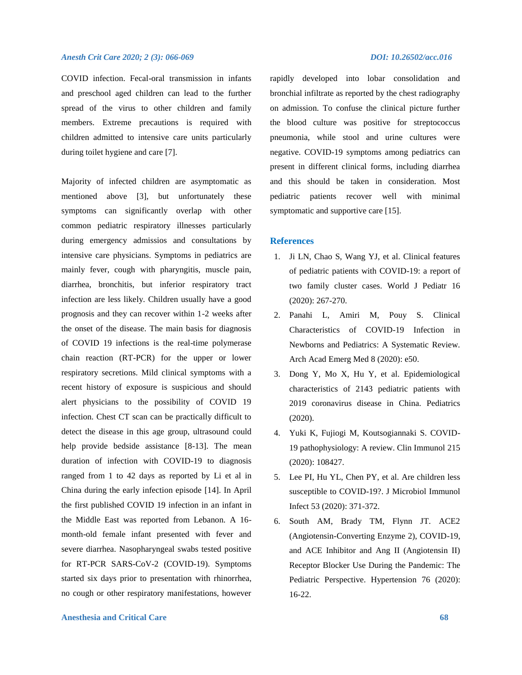#### *Anesth Crit Care 2020; 2 (3): 066-069 DOI: 10.26502/acc.016*

COVID infection. Fecal-oral transmission in infants and preschool aged children can lead to the further spread of the virus to other children and family members. Extreme precautions is required with children admitted to intensive care units particularly during toilet hygiene and care [7].

Majority of infected children are asymptomatic as mentioned above [3], but unfortunately these symptoms can significantly overlap with other common pediatric respiratory illnesses particularly during emergency admissios and consultations by intensive care physicians. Symptoms in pediatrics are mainly fever, cough with pharyngitis, muscle pain, diarrhea, bronchitis, but inferior respiratory tract infection are less likely. Children usually have a good prognosis and they can recover within 1-2 weeks after the onset of the disease. The main basis for diagnosis of COVID 19 infections is the real-time polymerase chain reaction (RT-PCR) for the upper or lower respiratory secretions. Mild clinical symptoms with a recent history of exposure is suspicious and should alert physicians to the possibility of COVID 19 infection. Chest CT scan can be practically difficult to detect the disease in this age group, ultrasound could help provide bedside assistance [8-13]. The mean duration of infection with COVID-19 to diagnosis ranged from 1 to 42 days as reported by Li et al in China during the early infection episode [14]. In April the first published COVID 19 infection in an infant in the Middle East was reported from Lebanon. A 16 month-old female infant presented with fever and severe diarrhea. Nasopharyngeal swabs tested positive for RT-PCR SARS-CoV-2 (COVID-19). Symptoms started six days prior to presentation with rhinorrhea, no cough or other respiratory manifestations, however

rapidly developed into lobar consolidation and bronchial infiltrate as reported by the chest radiography on admission. To confuse the clinical picture further the blood culture was positive for streptococcus pneumonia, while stool and urine cultures were negative. COVID-19 symptoms among pediatrics can present in different clinical forms, including diarrhea and this should be taken in consideration. Most pediatric patients recover well with minimal symptomatic and supportive care [15].

#### **References**

- 1. Ji LN, Chao S, Wang YJ, et al. Clinical features of pediatric patients with COVID-19: a report of two family cluster cases. World J Pediatr 16 (2020): 267-270.
- 2. Panahi L, Amiri M, Pouy S. Clinical Characteristics of COVID-19 Infection in Newborns and Pediatrics: A Systematic Review. Arch Acad Emerg Med 8 (2020): e50.
- 3. Dong Y, Mo X, Hu Y, et al. Epidemiological characteristics of 2143 pediatric patients with 2019 coronavirus disease in China. Pediatrics (2020).
- 4. Yuki K, Fujiogi M, Koutsogiannaki S. COVID-19 pathophysiology: A review. Clin Immunol 215 (2020): 108427.
- 5. Lee PI, Hu YL, Chen PY, et al. Are children less susceptible to COVID-19?. J Microbiol Immunol Infect 53 (2020): 371-372.
- 6. South AM, Brady TM, Flynn JT. ACE2 (Angiotensin-Converting Enzyme 2), COVID-19, and ACE Inhibitor and Ang II (Angiotensin II) Receptor Blocker Use During the Pandemic: The Pediatric Perspective. Hypertension 76 (2020): 16-22.